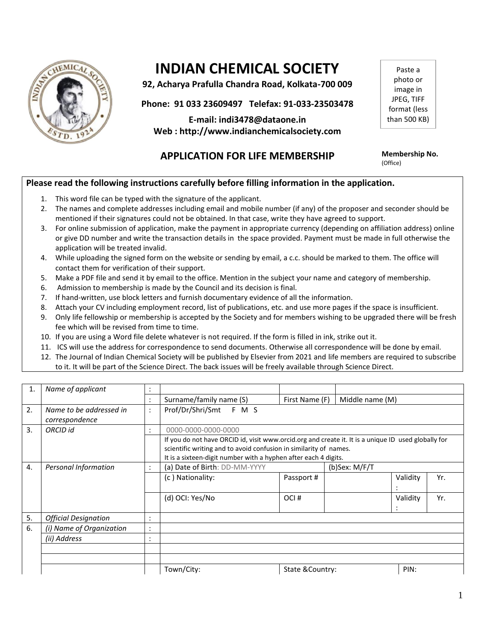

# **INDIAN CHEMICAL SOCIETY**

**92, Acharya Prafulla Chandra Road, Kolkata-700 009**

**Phone: 91 033 23609497 Telefax: 91-033-23503478**

**E-mail: indi3478@dataone.in Web : http://www.indianchemicalsociety.com**

## **APPLICATION FOR LIFE MEMBERSHIP Membership No.**

Paste a photo or image in JPEG, TIFF format (less than 500 KB)

(Office)

### **Please read the following instructions carefully before filling information in the application.**

- 1. This word file can be typed with the signature of the applicant.
- 2. The names and complete addresses including email and mobile number (if any) of the proposer and seconder should be mentioned if their signatures could not be obtained. In that case, write they have agreed to support.
- 3. For online submission of application, make the payment in appropriate currency (depending on affiliation address) online or give DD number and write the transaction details in the space provided. Payment must be made in full otherwise the application will be treated invalid.
- 4. While uploading the signed form on the website or sending by email, a c.c. should be marked to them. The office will contact them for verification of their support.
- 5. Make a PDF file and send it by email to the office. Mention in the subject your name and category of membership.
- 6. Admission to membership is made by the Council and its decision is final.
- 7. If hand-written, use block letters and furnish documentary evidence of all the information.
- 8. Attach your CV including employment record, list of publications, etc. and use more pages if the space is insufficient.
- 9. Only life fellowship or membership is accepted by the Society and for members wishing to be upgraded there will be fresh fee which will be revised from time to time.
- 10. If you are using a Word file delete whatever is not required. If the form is filled in ink, strike out it.
- 11. ICS will use the address for correspondence to send documents. Otherwise all correspondence will be done by email.
- 12. The Journal of Indian Chemical Society will be published by Elsevier from 2021 and life members are required to subscribe to it. It will be part of the Science Direct. The back issues will be freely available through Science Direct.

| 1. | Name of applicant                         |                      |                                                                                                                                                                                                                                             |                          |                 |          |     |  |
|----|-------------------------------------------|----------------------|---------------------------------------------------------------------------------------------------------------------------------------------------------------------------------------------------------------------------------------------|--------------------------|-----------------|----------|-----|--|
|    |                                           | $\ddot{\cdot}$       | Surname/family name (S)                                                                                                                                                                                                                     | First Name (F)           | Middle name (M) |          |     |  |
| 2. | Name to be addressed in<br>correspondence | $\ddot{\cdot}$       | Prof/Dr/Shri/Smt F M S                                                                                                                                                                                                                      |                          |                 |          |     |  |
| 3. | ORCID id                                  | $\ddot{\cdot}$       | 0000-0000-0000-0000                                                                                                                                                                                                                         |                          |                 |          |     |  |
|    |                                           |                      | If you do not have ORCID id, visit www.orcid.org and create it. It is a unique ID used globally for<br>scientific writing and to avoid confusion in similarity of names.<br>It is a sixteen-digit number with a hyphen after each 4 digits. |                          |                 |          |     |  |
| 4. | Personal Information                      | $\ddot{\cdot}$       | (a) Date of Birth: DD-MM-YYYY<br>(b)Sex: $M/F/T$                                                                                                                                                                                            |                          |                 |          |     |  |
|    |                                           |                      | (c) Nationality:                                                                                                                                                                                                                            | Passport #               |                 | Validity | Yr. |  |
|    |                                           |                      | (d) OCI: Yes/No                                                                                                                                                                                                                             | OCI#                     |                 | Validity | Yr. |  |
| 5. | <b>Official Designation</b>               | $\bullet$<br>$\cdot$ |                                                                                                                                                                                                                                             |                          |                 |          |     |  |
| 6. | (i) Name of Organization                  | $\bullet$<br>$\cdot$ |                                                                                                                                                                                                                                             |                          |                 |          |     |  |
|    | (ii) Address                              | $\bullet$            |                                                                                                                                                                                                                                             |                          |                 |          |     |  |
|    |                                           |                      |                                                                                                                                                                                                                                             |                          |                 |          |     |  |
|    |                                           |                      |                                                                                                                                                                                                                                             |                          |                 |          |     |  |
|    |                                           |                      | Town/City:                                                                                                                                                                                                                                  | State & Country:<br>PIN: |                 |          |     |  |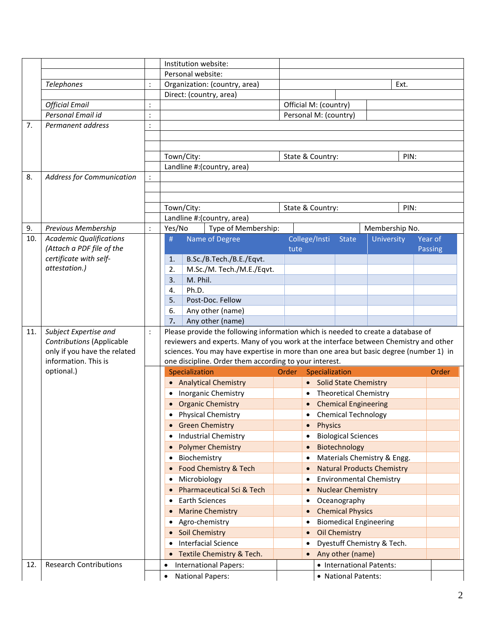|     |                                  |                | Institution website:                                                             |                      |                                                                                       |                             |                       |                |                                         |                                   |      |                |  |
|-----|----------------------------------|----------------|----------------------------------------------------------------------------------|----------------------|---------------------------------------------------------------------------------------|-----------------------------|-----------------------|----------------|-----------------------------------------|-----------------------------------|------|----------------|--|
|     |                                  |                | Personal website:                                                                |                      |                                                                                       |                             |                       |                |                                         |                                   |      |                |  |
|     | Telephones                       | $\ddot{\cdot}$ | Organization: (country, area)                                                    |                      |                                                                                       | Ext.                        |                       |                |                                         |                                   |      |                |  |
|     |                                  |                | Direct: (country, area)                                                          |                      |                                                                                       |                             |                       |                |                                         |                                   |      |                |  |
|     | <b>Official Email</b>            |                |                                                                                  |                      |                                                                                       |                             | Official M: (country) |                |                                         |                                   |      |                |  |
|     | Personal Email id                |                |                                                                                  |                      |                                                                                       |                             |                       |                | Personal M: (country)                   |                                   |      |                |  |
| 7.  | Permanent address                | $\ddot{\cdot}$ |                                                                                  |                      |                                                                                       |                             |                       |                |                                         |                                   |      |                |  |
|     |                                  |                |                                                                                  |                      |                                                                                       |                             |                       |                |                                         |                                   |      |                |  |
|     |                                  |                |                                                                                  |                      |                                                                                       |                             |                       |                |                                         |                                   |      |                |  |
|     |                                  |                | Town/City:<br>State & Country:<br>PIN:                                           |                      |                                                                                       |                             |                       |                |                                         |                                   |      |                |  |
|     |                                  |                |                                                                                  |                      | Landline #: (country, area)                                                           |                             |                       |                |                                         |                                   |      |                |  |
| 8.  | <b>Address for Communication</b> |                |                                                                                  |                      |                                                                                       |                             |                       |                |                                         |                                   |      |                |  |
|     |                                  |                |                                                                                  |                      |                                                                                       |                             |                       |                |                                         |                                   |      |                |  |
|     |                                  |                |                                                                                  |                      |                                                                                       |                             |                       |                |                                         |                                   |      |                |  |
|     |                                  |                |                                                                                  | Town/City:           | Landline #: (country, area)                                                           |                             | State & Country:      |                |                                         |                                   | PIN: |                |  |
| 9.  | Previous Membership              | $\ddot{\cdot}$ | Yes/No                                                                           |                      | Type of Membership:                                                                   |                             |                       |                |                                         | Membership No.                    |      |                |  |
| 10. | <b>Academic Qualifications</b>   |                | #                                                                                |                      | Name of Degree                                                                        |                             | College/Insti         |                | <b>State</b>                            | University                        |      | Year of        |  |
|     | (Attach a PDF file of the        |                |                                                                                  |                      |                                                                                       |                             | tute                  |                |                                         |                                   |      | <b>Passing</b> |  |
|     | certificate with self-           |                | 1.                                                                               |                      | B.Sc./B.Tech./B.E./Eqvt.                                                              |                             |                       |                |                                         |                                   |      |                |  |
|     | attestation.)                    |                | 2.                                                                               |                      | M.Sc./M. Tech./M.E./Eqvt.                                                             |                             |                       |                |                                         |                                   |      |                |  |
|     |                                  |                | 3.                                                                               | M. Phil.             |                                                                                       |                             |                       |                |                                         |                                   |      |                |  |
|     |                                  |                | 4.                                                                               | Ph.D.                |                                                                                       |                             |                       |                |                                         |                                   |      |                |  |
|     |                                  |                | 5.                                                                               |                      | Post-Doc. Fellow                                                                      |                             |                       |                |                                         |                                   |      |                |  |
|     |                                  |                | 6.                                                                               |                      | Any other (name)                                                                      |                             |                       |                |                                         |                                   |      |                |  |
|     |                                  |                | 7.                                                                               |                      | Any other (name)                                                                      |                             |                       |                |                                         |                                   |      |                |  |
| 11. | Subject Expertise and            | $\ddot{\cdot}$ | Please provide the following information which is needed to create a database of |                      |                                                                                       |                             |                       |                |                                         |                                   |      |                |  |
|     | <b>Contributions (Applicable</b> |                |                                                                                  |                      | reviewers and experts. Many of you work at the interface between Chemistry and other  |                             |                       |                |                                         |                                   |      |                |  |
|     | only if you have the related     |                |                                                                                  |                      | sciences. You may have expertise in more than one area but basic degree (number 1) in |                             |                       |                |                                         |                                   |      |                |  |
|     | information. This is             |                |                                                                                  |                      | one discipline. Order them according to your interest.                                |                             |                       |                |                                         |                                   |      |                |  |
|     | optional.)                       |                |                                                                                  | Specialization       |                                                                                       | Order                       |                       | Specialization |                                         |                                   |      | Order          |  |
|     |                                  |                |                                                                                  |                      | • Analytical Chemistry                                                                | • Solid State Chemistry     |                       |                |                                         |                                   |      |                |  |
|     |                                  |                |                                                                                  |                      | • Inorganic Chemistry                                                                 | • Theoretical Chemistry     |                       |                |                                         |                                   |      |                |  |
|     |                                  |                | <b>Organic Chemistry</b>                                                         |                      |                                                                                       | <b>Chemical Engineering</b> |                       |                |                                         |                                   |      |                |  |
|     |                                  |                |                                                                                  | • Physical Chemistry |                                                                                       |                             | • Chemical Technology |                |                                         |                                   |      |                |  |
|     |                                  |                |                                                                                  |                      | <b>Green Chemistry</b>                                                                |                             | $\bullet$             | Physics        |                                         |                                   |      |                |  |
|     |                                  |                |                                                                                  |                      | <b>Industrial Chemistry</b>                                                           |                             |                       |                | <b>Biological Sciences</b>              |                                   |      |                |  |
|     |                                  |                | $\bullet$                                                                        |                      | <b>Polymer Chemistry</b>                                                              |                             | $\bullet$             |                | Biotechnology                           |                                   |      |                |  |
|     |                                  |                | $\bullet$                                                                        | Biochemistry         | Food Chemistry & Tech                                                                 |                             | $\bullet$             |                |                                         | Materials Chemistry & Engg.       |      |                |  |
|     |                                  |                |                                                                                  |                      |                                                                                       |                             |                       |                |                                         | <b>Natural Products Chemistry</b> |      |                |  |
|     |                                  |                |                                                                                  | Microbiology         |                                                                                       |                             |                       |                |                                         | <b>Environmental Chemistry</b>    |      |                |  |
|     |                                  |                |                                                                                  |                      | <b>Pharmaceutical Sci &amp; Tech</b><br><b>Earth Sciences</b>                         |                             | $\bullet$             |                | <b>Nuclear Chemistry</b>                |                                   |      |                |  |
|     |                                  |                | $\bullet$                                                                        |                      |                                                                                       |                             | $\bullet$             |                | Oceanography<br><b>Chemical Physics</b> |                                   |      |                |  |
|     |                                  |                | $\bullet$                                                                        |                      | <b>Marine Chemistry</b><br>Agro-chemistry                                             |                             | $\bullet$             |                |                                         |                                   |      |                |  |
|     |                                  |                | $\bullet$                                                                        |                      | • Soil Chemistry                                                                      |                             | $\bullet$             |                | <b>Oil Chemistry</b>                    | <b>Biomedical Engineering</b>     |      |                |  |
|     |                                  |                |                                                                                  |                      | Interfacial Science                                                                   |                             |                       |                |                                         | Dyestuff Chemistry & Tech.        |      |                |  |
|     |                                  |                |                                                                                  |                      |                                                                                       |                             | $\bullet$             |                |                                         |                                   |      |                |  |
| 12. | <b>Research Contributions</b>    |                | $\bullet$                                                                        |                      | • Textile Chemistry & Tech.                                                           |                             |                       |                | Any other (name)                        | • International Patents:          |      |                |  |
|     |                                  |                | $\bullet$                                                                        |                      | <b>International Papers:</b><br><b>National Papers:</b>                               |                             |                       |                | • National Patents:                     |                                   |      |                |  |
|     |                                  |                |                                                                                  |                      |                                                                                       |                             |                       |                |                                         |                                   |      |                |  |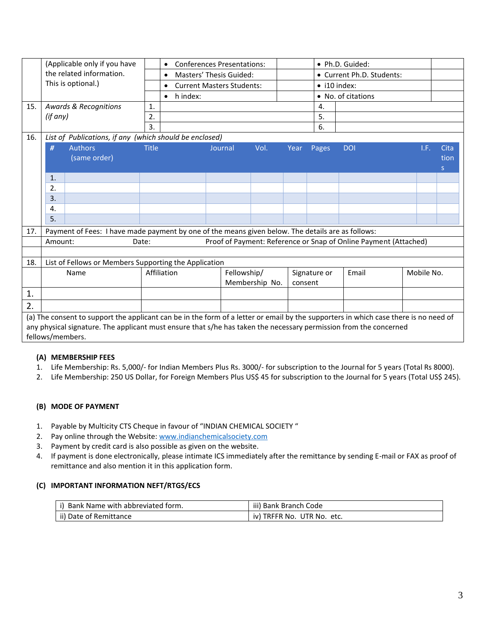|     | (Applicable only if you have                                                                                                         |              | $\bullet$                            | • Ph.D. Guided:<br><b>Conferences Presentations:</b> |                |         |                           |                    |            |      |              |
|-----|--------------------------------------------------------------------------------------------------------------------------------------|--------------|--------------------------------------|------------------------------------------------------|----------------|---------|---------------------------|--------------------|------------|------|--------------|
|     | the related information.                                                                                                             |              | Masters' Thesis Guided:<br>$\bullet$ |                                                      |                |         | • Current Ph.D. Students: |                    |            |      |              |
|     | This is optional.)                                                                                                                   |              | $\bullet$                            | <b>Current Masters Students:</b>                     |                |         | $\bullet$ i10 index:      |                    |            |      |              |
|     |                                                                                                                                      |              | h index:<br>$\bullet$                |                                                      |                |         |                           | • No. of citations |            |      |              |
| 15. | <b>Awards &amp; Recognitions</b>                                                                                                     | 1.           |                                      |                                                      |                |         | 4.                        |                    |            |      |              |
|     | (if any)                                                                                                                             | 2.           |                                      |                                                      |                |         | 5.                        |                    |            |      |              |
|     |                                                                                                                                      | 3.           |                                      |                                                      |                |         | 6.                        |                    |            |      |              |
| 16. | List of Publications, if any (which should be enclosed)                                                                              |              |                                      |                                                      |                |         |                           |                    |            |      |              |
|     | #<br><b>Authors</b>                                                                                                                  | <b>Title</b> |                                      | Journal                                              | Vol.           | Year    | Pages                     | <b>DOI</b>         |            | T.E. | Cita         |
|     | (same order)                                                                                                                         |              |                                      |                                                      |                |         |                           |                    |            |      | tion         |
|     |                                                                                                                                      |              |                                      |                                                      |                |         |                           |                    |            |      | <sub>S</sub> |
|     | $\mathbf{1}$                                                                                                                         |              |                                      |                                                      |                |         |                           |                    |            |      |              |
|     | 2.                                                                                                                                   |              |                                      |                                                      |                |         |                           |                    |            |      |              |
|     | 3.                                                                                                                                   |              |                                      |                                                      |                |         |                           |                    |            |      |              |
|     | 4.                                                                                                                                   |              |                                      |                                                      |                |         |                           |                    |            |      |              |
|     | 5.                                                                                                                                   |              |                                      |                                                      |                |         |                           |                    |            |      |              |
| 17. | Payment of Fees: I have made payment by one of the means given below. The details are as follows:                                    |              |                                      |                                                      |                |         |                           |                    |            |      |              |
|     | Proof of Payment: Reference or Snap of Online Payment (Attached)<br>Amount:<br>Date:                                                 |              |                                      |                                                      |                |         |                           |                    |            |      |              |
|     |                                                                                                                                      |              |                                      |                                                      |                |         |                           |                    |            |      |              |
| 18. | List of Fellows or Members Supporting the Application                                                                                |              |                                      |                                                      |                |         |                           |                    |            |      |              |
|     | Name                                                                                                                                 |              | Affiliation                          | Fellowship/                                          |                |         | Signature or              | Email              | Mobile No. |      |              |
|     |                                                                                                                                      |              |                                      |                                                      | Membership No. | consent |                           |                    |            |      |              |
| 1.  |                                                                                                                                      |              |                                      |                                                      |                |         |                           |                    |            |      |              |
| 2.  |                                                                                                                                      |              |                                      |                                                      |                |         |                           |                    |            |      |              |
|     | (a) The consent to support the applicant can be in the form of a letter or email by the supporters in which case there is no need of |              |                                      |                                                      |                |         |                           |                    |            |      |              |
|     | any physical signature. The applicant must ensure that s/he has taken the necessary permission from the concerned                    |              |                                      |                                                      |                |         |                           |                    |            |      |              |
|     | fellows/members.                                                                                                                     |              |                                      |                                                      |                |         |                           |                    |            |      |              |

#### **(A) MEMBERSHIP FEES**

- 1. Life Membership: Rs. 5,000/- for Indian Members Plus Rs. 3000/- for subscription to the Journal for 5 years (Total Rs 8000).
- 2. Life Membership: 250 US Dollar, for Foreign Members Plus US\$ 45 for subscription to the Journal for 5 years (Total US\$ 245).

#### **(B) MODE OF PAYMENT**

- 1. Payable by Multicity CTS Cheque in favour of "INDIAN CHEMICAL SOCIETY "
- 2. Pay online through the Website[: www.indianchemicalsociety.com](http://www.indianchemicalsociety.com/)
- 3. Payment by credit card is also possible as given on the website.
- 4. If payment is done electronically, please intimate ICS immediately after the remittance by sending E-mail or FAX as proof of remittance and also mention it in this application form.

#### **(C) IMPORTANT INFORMATION NEFT/RTGS/ECS**

| Bank Name with abbreviated form. | iii) Bank Branch Code            |
|----------------------------------|----------------------------------|
| ii) Date of Remittance           | UTR No. etc.<br>TRFFR No.<br>iv) |